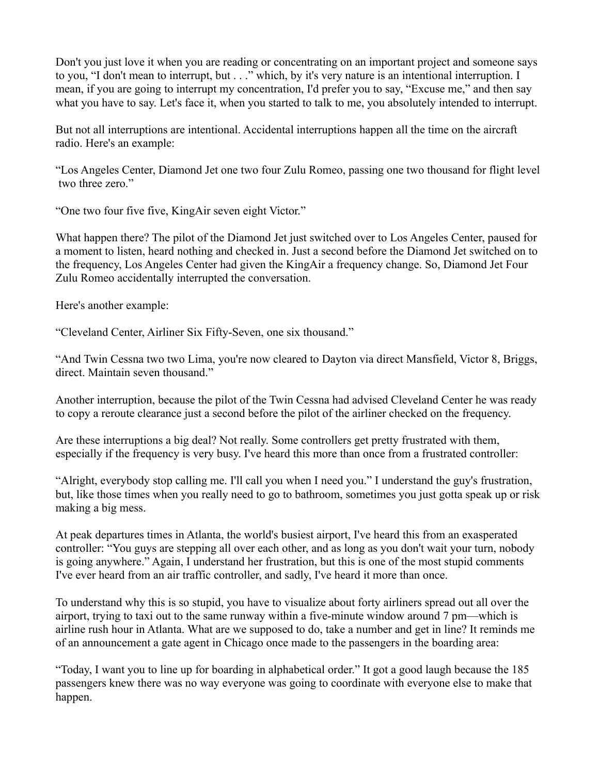Don't you just love it when you are reading or concentrating on an important project and someone says to you, "I don't mean to interrupt, but . . ." which, by it's very nature is an intentional interruption. I mean, if you are going to interrupt my concentration, I'd prefer you to say, "Excuse me," and then say what you have to say. Let's face it, when you started to talk to me, you absolutely intended to interrupt.

But not all interruptions are intentional. Accidental interruptions happen all the time on the aircraft radio. Here's an example:

"Los Angeles Center, Diamond Jet one two four Zulu Romeo, passing one two thousand for flight level two three zero."

"One two four five five, KingAir seven eight Victor."

What happen there? The pilot of the Diamond Jet just switched over to Los Angeles Center, paused for a moment to listen, heard nothing and checked in. Just a second before the Diamond Jet switched on to the frequency, Los Angeles Center had given the KingAir a frequency change. So, Diamond Jet Four Zulu Romeo accidentally interrupted the conversation.

Here's another example:

"Cleveland Center, Airliner Six Fifty-Seven, one six thousand."

"And Twin Cessna two two Lima, you're now cleared to Dayton via direct Mansfield, Victor 8, Briggs, direct. Maintain seven thousand."

Another interruption, because the pilot of the Twin Cessna had advised Cleveland Center he was ready to copy a reroute clearance just a second before the pilot of the airliner checked on the frequency.

Are these interruptions a big deal? Not really. Some controllers get pretty frustrated with them, especially if the frequency is very busy. I've heard this more than once from a frustrated controller:

"Alright, everybody stop calling me. I'll call you when I need you." I understand the guy's frustration, but, like those times when you really need to go to bathroom, sometimes you just gotta speak up or risk making a big mess.

At peak departures times in Atlanta, the world's busiest airport, I've heard this from an exasperated controller: "You guys are stepping all over each other, and as long as you don't wait your turn, nobody is going anywhere." Again, I understand her frustration, but this is one of the most stupid comments I've ever heard from an air traffic controller, and sadly, I've heard it more than once.

To understand why this is so stupid, you have to visualize about forty airliners spread out all over the airport, trying to taxi out to the same runway within a five-minute window around 7 pm—which is airline rush hour in Atlanta. What are we supposed to do, take a number and get in line? It reminds me of an announcement a gate agent in Chicago once made to the passengers in the boarding area:

"Today, I want you to line up for boarding in alphabetical order." It got a good laugh because the 185 passengers knew there was no way everyone was going to coordinate with everyone else to make that happen.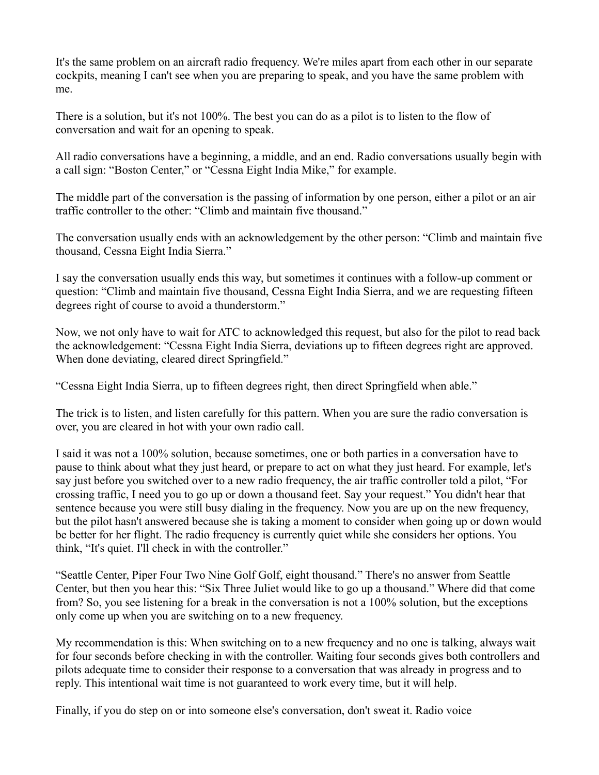It's the same problem on an aircraft radio frequency. We're miles apart from each other in our separate cockpits, meaning I can't see when you are preparing to speak, and you have the same problem with me.

There is a solution, but it's not 100%. The best you can do as a pilot is to listen to the flow of conversation and wait for an opening to speak.

All radio conversations have a beginning, a middle, and an end. Radio conversations usually begin with a call sign: "Boston Center," or "Cessna Eight India Mike," for example.

The middle part of the conversation is the passing of information by one person, either a pilot or an air traffic controller to the other: "Climb and maintain five thousand."

The conversation usually ends with an acknowledgement by the other person: "Climb and maintain five thousand, Cessna Eight India Sierra."

I say the conversation usually ends this way, but sometimes it continues with a follow-up comment or question: "Climb and maintain five thousand, Cessna Eight India Sierra, and we are requesting fifteen degrees right of course to avoid a thunderstorm."

Now, we not only have to wait for ATC to acknowledged this request, but also for the pilot to read back the acknowledgement: "Cessna Eight India Sierra, deviations up to fifteen degrees right are approved. When done deviating, cleared direct Springfield."

"Cessna Eight India Sierra, up to fifteen degrees right, then direct Springfield when able."

The trick is to listen, and listen carefully for this pattern. When you are sure the radio conversation is over, you are cleared in hot with your own radio call.

I said it was not a 100% solution, because sometimes, one or both parties in a conversation have to pause to think about what they just heard, or prepare to act on what they just heard. For example, let's say just before you switched over to a new radio frequency, the air traffic controller told a pilot, "For crossing traffic, I need you to go up or down a thousand feet. Say your request." You didn't hear that sentence because you were still busy dialing in the frequency. Now you are up on the new frequency, but the pilot hasn't answered because she is taking a moment to consider when going up or down would be better for her flight. The radio frequency is currently quiet while she considers her options. You think, "It's quiet. I'll check in with the controller."

"Seattle Center, Piper Four Two Nine Golf Golf, eight thousand." There's no answer from Seattle Center, but then you hear this: "Six Three Juliet would like to go up a thousand." Where did that come from? So, you see listening for a break in the conversation is not a 100% solution, but the exceptions only come up when you are switching on to a new frequency.

My recommendation is this: When switching on to a new frequency and no one is talking, always wait for four seconds before checking in with the controller. Waiting four seconds gives both controllers and pilots adequate time to consider their response to a conversation that was already in progress and to reply. This intentional wait time is not guaranteed to work every time, but it will help.

Finally, if you do step on or into someone else's conversation, don't sweat it. Radio voice